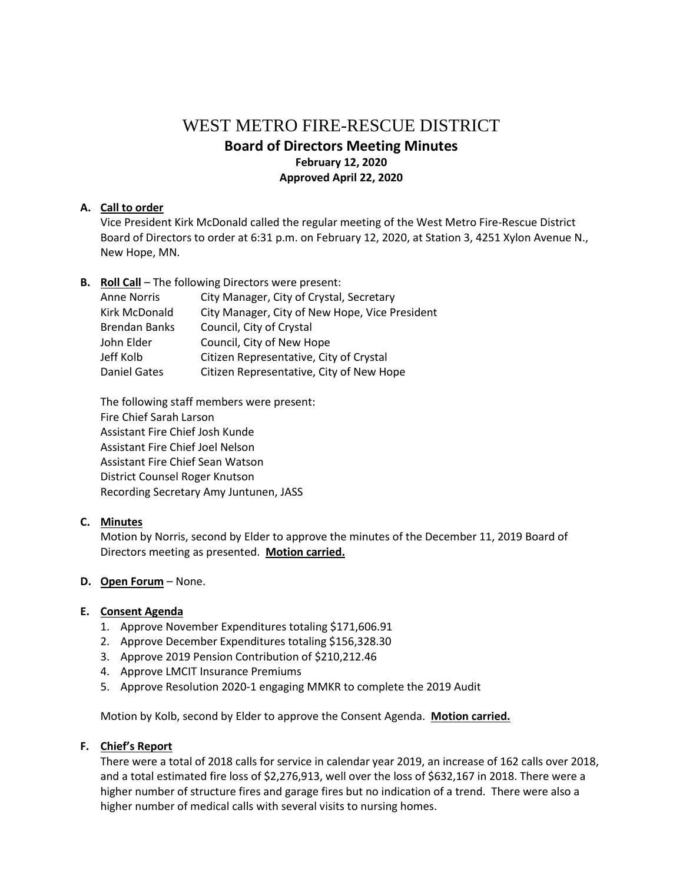# WEST METRO FIRE-RESCUE DISTRICT **Board of Directors Meeting Minutes February 12, 2020 Approved April 22, 2020**

# **A. Call to order**

Vice President Kirk McDonald called the regular meeting of the West Metro Fire-Rescue District Board of Directors to order at 6:31 p.m. on February 12, 2020, at Station 3, 4251 Xylon Avenue N., New Hope, MN.

**B. Roll Call** – The following Directors were present:

| <b>Anne Norris</b>   | City Manager, City of Crystal, Secretary       |
|----------------------|------------------------------------------------|
| Kirk McDonald        | City Manager, City of New Hope, Vice President |
| <b>Brendan Banks</b> | Council, City of Crystal                       |
| John Elder           | Council, City of New Hope                      |
| Jeff Kolb            | Citizen Representative, City of Crystal        |
| <b>Daniel Gates</b>  | Citizen Representative, City of New Hope       |
|                      |                                                |

The following staff members were present: Fire Chief Sarah Larson Assistant Fire Chief Josh Kunde Assistant Fire Chief Joel Nelson Assistant Fire Chief Sean Watson District Counsel Roger Knutson Recording Secretary Amy Juntunen, JASS

# **C. Minutes**

Motion by Norris, second by Elder to approve the minutes of the December 11, 2019 Board of Directors meeting as presented. **Motion carried.**

## **D. Open Forum** – None.

## **E. Consent Agenda**

- 1. Approve November Expenditures totaling \$171,606.91
- 2. Approve December Expenditures totaling \$156,328.30
- 3. Approve 2019 Pension Contribution of \$210,212.46
- 4. Approve LMCIT Insurance Premiums
- 5. Approve Resolution 2020-1 engaging MMKR to complete the 2019 Audit

Motion by Kolb, second by Elder to approve the Consent Agenda. **Motion carried.**

# **F. Chief's Report**

There were a total of 2018 calls for service in calendar year 2019, an increase of 162 calls over 2018, and a total estimated fire loss of \$2,276,913, well over the loss of \$632,167 in 2018. There were a higher number of structure fires and garage fires but no indication of a trend. There were also a higher number of medical calls with several visits to nursing homes.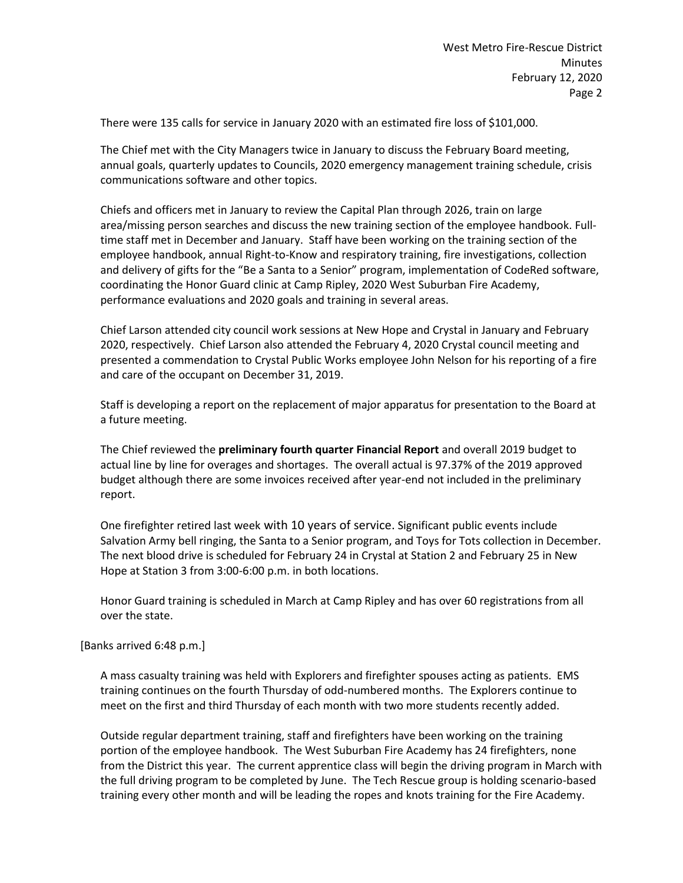There were 135 calls for service in January 2020 with an estimated fire loss of \$101,000.

The Chief met with the City Managers twice in January to discuss the February Board meeting, annual goals, quarterly updates to Councils, 2020 emergency management training schedule, crisis communications software and other topics.

Chiefs and officers met in January to review the Capital Plan through 2026, train on large area/missing person searches and discuss the new training section of the employee handbook. Fulltime staff met in December and January. Staff have been working on the training section of the employee handbook, annual Right-to-Know and respiratory training, fire investigations, collection and delivery of gifts for the "Be a Santa to a Senior" program, implementation of CodeRed software, coordinating the Honor Guard clinic at Camp Ripley, 2020 West Suburban Fire Academy, performance evaluations and 2020 goals and training in several areas.

Chief Larson attended city council work sessions at New Hope and Crystal in January and February 2020, respectively. Chief Larson also attended the February 4, 2020 Crystal council meeting and presented a commendation to Crystal Public Works employee John Nelson for his reporting of a fire and care of the occupant on December 31, 2019.

Staff is developing a report on the replacement of major apparatus for presentation to the Board at a future meeting.

The Chief reviewed the **preliminary fourth quarter Financial Report** and overall 2019 budget to actual line by line for overages and shortages. The overall actual is 97.37% of the 2019 approved budget although there are some invoices received after year-end not included in the preliminary report.

One firefighter retired last week with 10 years of service. Significant public events include Salvation Army bell ringing, the Santa to a Senior program, and Toys for Tots collection in December. The next blood drive is scheduled for February 24 in Crystal at Station 2 and February 25 in New Hope at Station 3 from 3:00-6:00 p.m. in both locations.

Honor Guard training is scheduled in March at Camp Ripley and has over 60 registrations from all over the state.

#### [Banks arrived 6:48 p.m.]

A mass casualty training was held with Explorers and firefighter spouses acting as patients. EMS training continues on the fourth Thursday of odd-numbered months. The Explorers continue to meet on the first and third Thursday of each month with two more students recently added.

Outside regular department training, staff and firefighters have been working on the training portion of the employee handbook. The West Suburban Fire Academy has 24 firefighters, none from the District this year. The current apprentice class will begin the driving program in March with the full driving program to be completed by June. The Tech Rescue group is holding scenario-based training every other month and will be leading the ropes and knots training for the Fire Academy.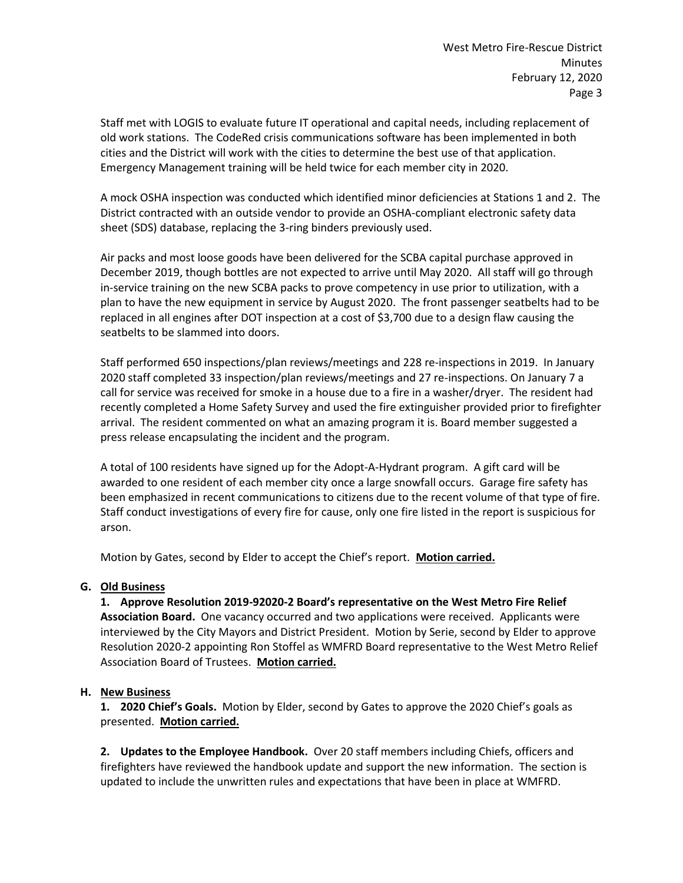Staff met with LOGIS to evaluate future IT operational and capital needs, including replacement of old work stations. The CodeRed crisis communications software has been implemented in both cities and the District will work with the cities to determine the best use of that application. Emergency Management training will be held twice for each member city in 2020.

A mock OSHA inspection was conducted which identified minor deficiencies at Stations 1 and 2. The District contracted with an outside vendor to provide an OSHA-compliant electronic safety data sheet (SDS) database, replacing the 3-ring binders previously used.

Air packs and most loose goods have been delivered for the SCBA capital purchase approved in December 2019, though bottles are not expected to arrive until May 2020. All staff will go through in-service training on the new SCBA packs to prove competency in use prior to utilization, with a plan to have the new equipment in service by August 2020. The front passenger seatbelts had to be replaced in all engines after DOT inspection at a cost of \$3,700 due to a design flaw causing the seatbelts to be slammed into doors.

Staff performed 650 inspections/plan reviews/meetings and 228 re-inspections in 2019. In January 2020 staff completed 33 inspection/plan reviews/meetings and 27 re-inspections. On January 7 a call for service was received for smoke in a house due to a fire in a washer/dryer. The resident had recently completed a Home Safety Survey and used the fire extinguisher provided prior to firefighter arrival. The resident commented on what an amazing program it is. Board member suggested a press release encapsulating the incident and the program.

A total of 100 residents have signed up for the Adopt-A-Hydrant program. A gift card will be awarded to one resident of each member city once a large snowfall occurs. Garage fire safety has been emphasized in recent communications to citizens due to the recent volume of that type of fire. Staff conduct investigations of every fire for cause, only one fire listed in the report is suspicious for arson.

Motion by Gates, second by Elder to accept the Chief's report. **Motion carried.**

## **G. Old Business**

**1. Approve Resolution 2019-92020-2 Board's representative on the West Metro Fire Relief Association Board.** One vacancy occurred and two applications were received. Applicants were interviewed by the City Mayors and District President. Motion by Serie, second by Elder to approve Resolution 2020-2 appointing Ron Stoffel as WMFRD Board representative to the West Metro Relief Association Board of Trustees. **Motion carried.**

## **H. New Business**

**1. 2020 Chief's Goals.** Motion by Elder, second by Gates to approve the 2020 Chief's goals as presented. **Motion carried.**

**2. Updates to the Employee Handbook.** Over 20 staff members including Chiefs, officers and firefighters have reviewed the handbook update and support the new information. The section is updated to include the unwritten rules and expectations that have been in place at WMFRD.